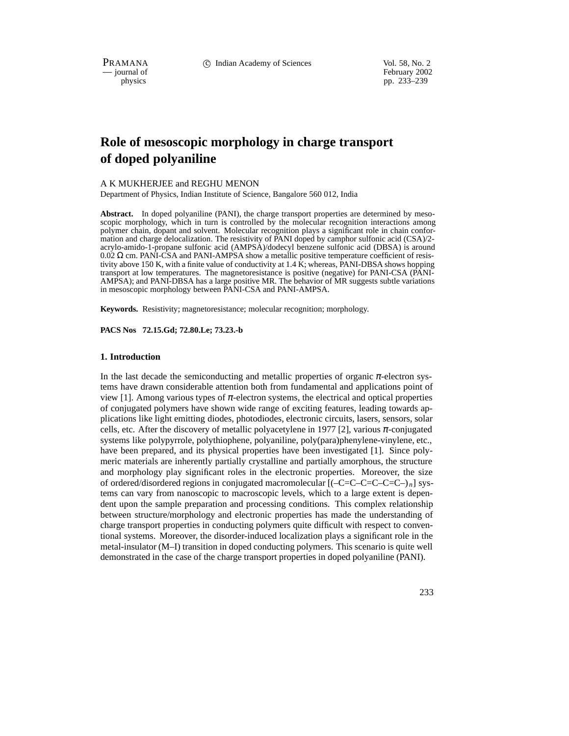PRAMANA 
compared in the C Indian Academy of Sciences Vol. 58, No. 2<br>
compared in the compared of the compared of the compared of the compared of the compared of the compared of the compared of the compared of the compared

position of February 2002<br>
physics produced by the product of February 2002<br>
pp. 233–239 pp. 233–239

# **Role of mesoscopic morphology in charge transport of doped polyaniline**

#### A K MUKHERJEE and REGHU MENON

Department of Physics, Indian Institute of Science, Bangalore 560 012, India

**Abstract.** In doped polyaniline (PANI), the charge transport properties are determined by mesoscopic morphology, which in turn is controlled by the molecular recognition interactions among polymer chain, dopant and solvent. Molecular recognition plays a significant role in chain conformation and charge delocalization. The resistivity of PANI doped by camphor sulfonic acid (CSA)/2 acrylo-amido-1-propane sulfonic acid (AMPSA)/dodecyl benzene sulfonic acid (DBSA) is around  $0.02 \Omega$  cm. PANI-CSA and PANI-AMPSA show a metallic positive temperature coefficient of resistivity above 150 K, with a finite value of conductivity at 1.4  $\tilde{K}$ ; whereas, PANI-DBSA shows hopping transport at low temperatures. The magnetoresistance is positive (negative) for PANI-CSA (PANI-AMPSA); and PANI-DBSA has a large positive MR. The behavior of MR suggests subtle variations in mesoscopic morphology between PANI-CSA and PANI-AMPSA.

**Keywords.** Resistivity; magnetoresistance; molecular recognition; morphology.

**PACS Nos 72.15.Gd; 72.80.Le; 73.23.-b**

#### **1. Introduction**

In the last decade the semiconducting and metallic properties of organic  $\pi$ -electron systems have drawn considerable attention both from fundamental and applications point of view [1]. Among various types of  $\pi$ -electron systems, the electrical and optical properties of conjugated polymers have shown wide range of exciting features, leading towards applications like light emitting diodes, photodiodes, electronic circuits, lasers, sensors, solar cells, etc. After the discovery of metallic polyacetylene in 1977 [2], various  $\pi$ -conjugated systems like polypyrrole, polythiophene, polyaniline, poly(para)phenylene-vinylene, etc., have been prepared, and its physical properties have been investigated [1]. Since polymeric materials are inherently partially crystalline and partially amorphous, the structure and morphology play significant roles in the electronic properties. Moreover, the size of ordered/disordered regions in conjugated macromolecular [(–C=C–C=C–C=C–) *<sup>n</sup>*] systems can vary from nanoscopic to macroscopic levels, which to a large extent is dependent upon the sample preparation and processing conditions. This complex relationship between structure/morphology and electronic properties has made the understanding of charge transport properties in conducting polymers quite difficult with respect to conventional systems. Moreover, the disorder-induced localization plays a significant role in the metal-insulator (M–I) transition in doped conducting polymers. This scenario is quite well demonstrated in the case of the charge transport properties in doped polyaniline (PANI).

233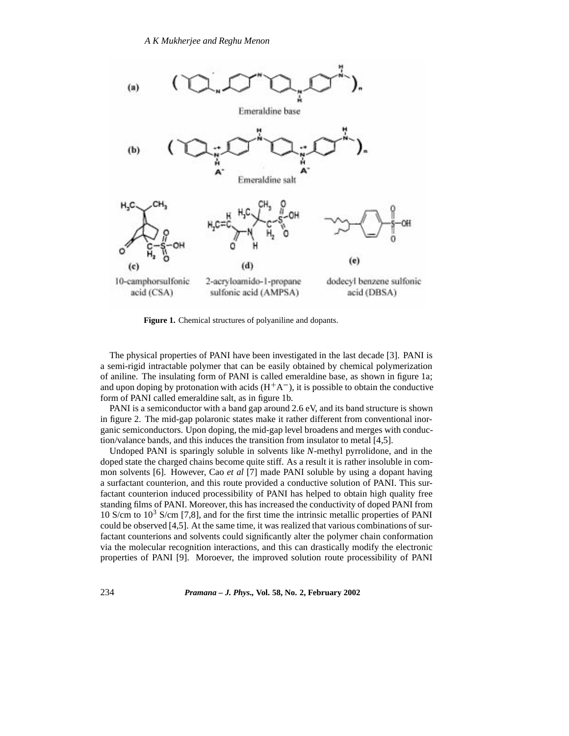

**Figure 1.** Chemical structures of polyaniline and dopants.

The physical properties of PANI have been investigated in the last decade [3]. PANI is a semi-rigid intractable polymer that can be easily obtained by chemical polymerization of aniline. The insulating form of PANI is called emeraldine base, as shown in figure 1a; and upon doping by protonation with acids  $(H^+A^-)$ , it is possible to obtain the conductive form of PANI called emeraldine salt, as in figure 1b.

PANI is a semiconductor with a band gap around 2.6 eV, and its band structure is shown in figure 2. The mid-gap polaronic states make it rather different from conventional inorganic semiconductors. Upon doping, the mid-gap level broadens and merges with conduction/valance bands, and this induces the transition from insulator to metal [4,5].

Undoped PANI is sparingly soluble in solvents like *N*-methyl pyrrolidone, and in the doped state the charged chains become quite stiff. As a result it is rather insoluble in common solvents [6]. However, Cao *et al* [7] made PANI soluble by using a dopant having a surfactant counterion, and this route provided a conductive solution of PANI. This surfactant counterion induced processibility of PANI has helped to obtain high quality free standing films of PANI. Moreover, this has increased the conductivity of doped PANI from 10 S/cm to  $10<sup>3</sup>$  S/cm [7,8], and for the first time the intrinsic metallic properties of PANI could be observed [4,5]. At the same time, it was realized that various combinations of surfactant counterions and solvents could significantly alter the polymer chain conformation via the molecular recognition interactions, and this can drastically modify the electronic properties of PANI [9]. Moroever, the improved solution route processibility of PANI

234 *Pramana – J. Phys.,* **Vol. 58, No. 2, February 2002**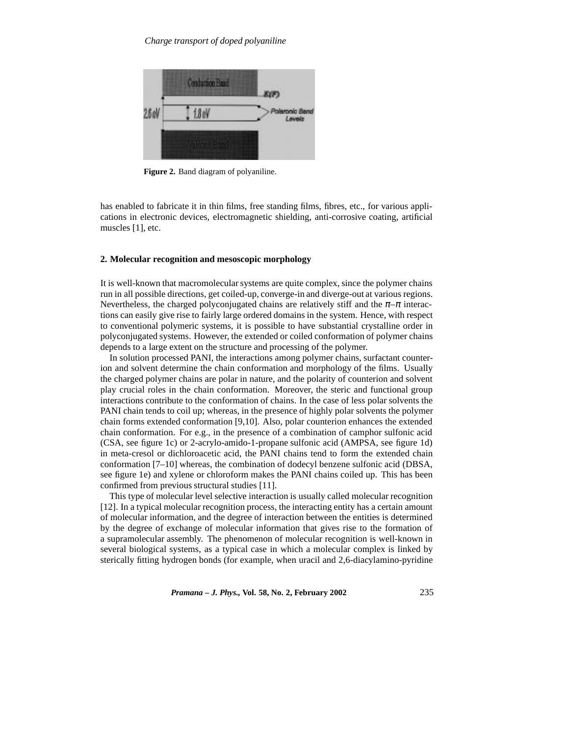

**Figure 2.** Band diagram of polyaniline.

has enabled to fabricate it in thin films, free standing films, fibres, etc., for various applications in electronic devices, electromagnetic shielding, anti-corrosive coating, artificial muscles [1], etc.

#### **2. Molecular recognition and mesoscopic morphology**

It is well-known that macromolecular systems are quite complex, since the polymer chains run in all possible directions, get coiled-up, converge-in and diverge-out at various regions. Nevertheless, the charged polyconjugated chains are relatively stiff and the  $\pi-\pi$  interactions can easily give rise to fairly large ordered domains in the system. Hence, with respect to conventional polymeric systems, it is possible to have substantial crystalline order in polyconjugated systems. However, the extended or coiled conformation of polymer chains depends to a large extent on the structure and processing of the polymer.

In solution processed PANI, the interactions among polymer chains, surfactant counterion and solvent determine the chain conformation and morphology of the films. Usually the charged polymer chains are polar in nature, and the polarity of counterion and solvent play crucial roles in the chain conformation. Moreover, the steric and functional group interactions contribute to the conformation of chains. In the case of less polar solvents the PANI chain tends to coil up; whereas, in the presence of highly polar solvents the polymer chain forms extended conformation [9,10]. Also, polar counterion enhances the extended chain conformation. For e.g., in the presence of a combination of camphor sulfonic acid (CSA, see figure 1c) or 2-acrylo-amido-1-propane sulfonic acid (AMPSA, see figure 1d) in meta-cresol or dichloroacetic acid, the PANI chains tend to form the extended chain conformation [7–10] whereas, the combination of dodecyl benzene sulfonic acid (DBSA, see figure 1e) and xylene or chloroform makes the PANI chains coiled up. This has been confirmed from previous structural studies [11].

This type of molecular level selective interaction is usually called molecular recognition [12]. In a typical molecular recognition process, the interacting entity has a certain amount of molecular information, and the degree of interaction between the entities is determined by the degree of exchange of molecular information that gives rise to the formation of a supramolecular assembly. The phenomenon of molecular recognition is well-known in several biological systems, as a typical case in which a molecular complex is linked by sterically fitting hydrogen bonds (for example, when uracil and 2,6-diacylamino-pyridine

*Pramana – J. Phys.,* **Vol. 58, No. 2, February 2002** 235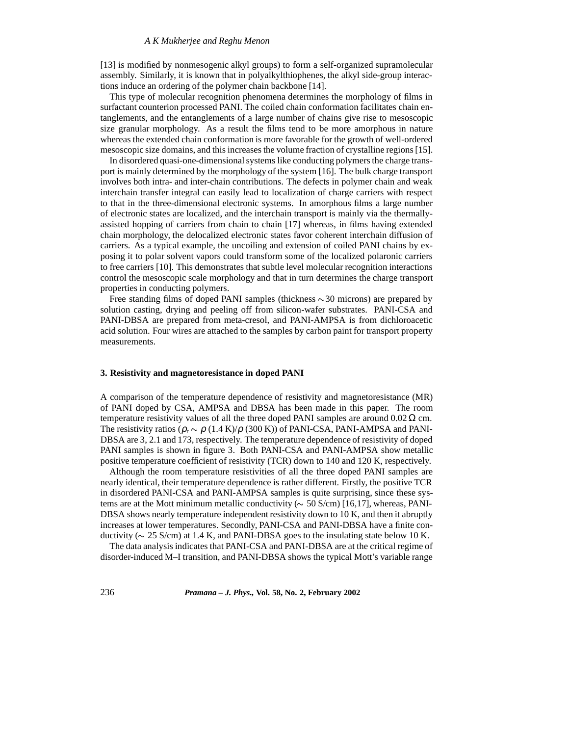[13] is modified by nonmesogenic alkyl groups) to form a self-organized supramolecular assembly. Similarly, it is known that in polyalkylthiophenes, the alkyl side-group interactions induce an ordering of the polymer chain backbone [14].

This type of molecular recognition phenomena determines the morphology of films in surfactant counterion processed PANI. The coiled chain conformation facilitates chain entanglements, and the entanglements of a large number of chains give rise to mesoscopic size granular morphology. As a result the films tend to be more amorphous in nature whereas the extended chain conformation is more favorable for the growth of well-ordered mesoscopic size domains, and this increases the volume fraction of crystalline regions [15].

In disordered quasi-one-dimensional systems like conducting polymers the charge transport is mainly determined by the morphology of the system [16]. The bulk charge transport involves both intra- and inter-chain contributions. The defects in polymer chain and weak interchain transfer integral can easily lead to localization of charge carriers with respect to that in the three-dimensional electronic systems. In amorphous films a large number of electronic states are localized, and the interchain transport is mainly via the thermallyassisted hopping of carriers from chain to chain [17] whereas, in films having extended chain morphology, the delocalized electronic states favor coherent interchain diffusion of carriers. As a typical example, the uncoiling and extension of coiled PANI chains by exposing it to polar solvent vapors could transform some of the localized polaronic carriers to free carriers [10]. This demonstrates that subtle level molecular recognition interactions control the mesoscopic scale morphology and that in turn determines the charge transport properties in conducting polymers.

Free standing films of doped PANI samples (thickness  $\sim$  30 microns) are prepared by solution casting, drying and peeling off from silicon-wafer substrates. PANI-CSA and PANI-DBSA are prepared from meta-cresol, and PANI-AMPSA is from dichloroacetic acid solution. Four wires are attached to the samples by carbon paint for transport property measurements.

## **3. Resistivity and magnetoresistance in doped PANI**

A comparison of the temperature dependence of resistivity and magnetoresistance (MR) of PANI doped by CSA, AMPSA and DBSA has been made in this paper. The room temperature resistivity values of all the three doped PANI samples are around  $0.02 \Omega$  cm. The resistivity ratios ( $\rho_r \sim \rho (1.4 \text{ K})/\rho (300 \text{ K})$ ) of PANI-CSA, PANI-AMPSA and PANI-DBSA are 3, 2.1 and 173, respectively. The temperature dependence of resistivity of doped PANI samples is shown in figure 3. Both PANI-CSA and PANI-AMPSA show metallic positive temperature coefficient of resistivity (TCR) down to 140 and 120 K, respectively.

Although the room temperature resistivities of all the three doped PANI samples are nearly identical, their temperature dependence is rather different. Firstly, the positive TCR in disordered PANI-CSA and PANI-AMPSA samples is quite surprising, since these systems are at the Mott minimum metallic conductivity ( $\sim$  50 S/cm) [16,17], whereas, PANI-DBSA shows nearly temperature independent resistivity down to 10 K, and then it abruptly increases at lower temperatures. Secondly, PANI-CSA and PANI-DBSA have a finite conductivity ( $\sim$  25 S/cm) at 1.4 K, and PANI-DBSA goes to the insulating state below 10 K.

The data analysis indicates that PANI-CSA and PANI-DBSA are at the critical regime of disorder-induced M–I transition, and PANI-DBSA shows the typical Mott's variable range

236 *Pramana – J. Phys.,* **Vol. 58, No. 2, February 2002**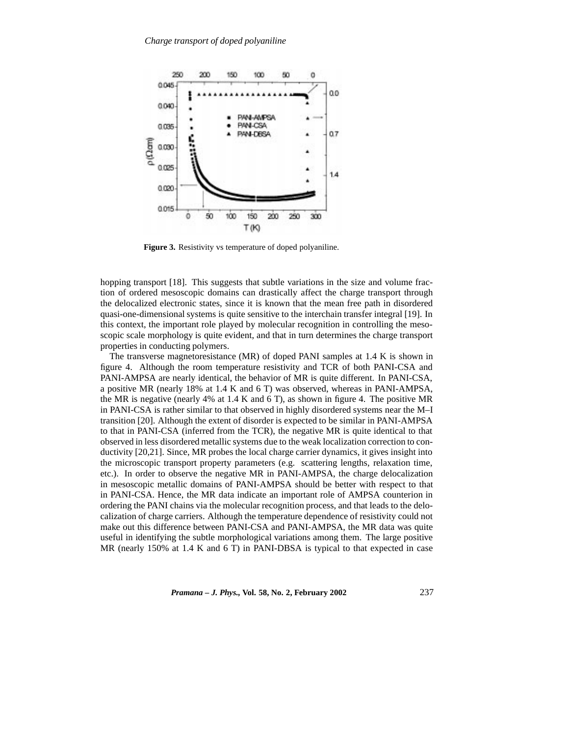

**Figure 3.** Resistivity vs temperature of doped polyaniline.

hopping transport [18]. This suggests that subtle variations in the size and volume fraction of ordered mesoscopic domains can drastically affect the charge transport through the delocalized electronic states, since it is known that the mean free path in disordered quasi-one-dimensional systems is quite sensitive to the interchain transfer integral [19]. In this context, the important role played by molecular recognition in controlling the mesoscopic scale morphology is quite evident, and that in turn determines the charge transport properties in conducting polymers.

The transverse magnetoresistance (MR) of doped PANI samples at 1.4 K is shown in figure 4. Although the room temperature resistivity and TCR of both PANI-CSA and PANI-AMPSA are nearly identical, the behavior of MR is quite different. In PANI-CSA, a positive MR (nearly 18% at 1.4 K and 6 T) was observed, whereas in PANI-AMPSA, the MR is negative (nearly 4% at 1.4 K and 6 T), as shown in figure 4. The positive MR in PANI-CSA is rather similar to that observed in highly disordered systems near the M–I transition [20]. Although the extent of disorder is expected to be similar in PANI-AMPSA to that in PANI-CSA (inferred from the TCR), the negative MR is quite identical to that observed in less disordered metallic systems due to the weak localization correction to conductivity [20,21]. Since, MR probes the local charge carrier dynamics, it gives insight into the microscopic transport property parameters (e.g. scattering lengths, relaxation time, etc.). In order to observe the negative MR in PANI-AMPSA, the charge delocalization in mesoscopic metallic domains of PANI-AMPSA should be better with respect to that in PANI-CSA. Hence, the MR data indicate an important role of AMPSA counterion in ordering the PANI chains via the molecular recognition process, and that leads to the delocalization of charge carriers. Although the temperature dependence of resistivity could not make out this difference between PANI-CSA and PANI-AMPSA, the MR data was quite useful in identifying the subtle morphological variations among them. The large positive MR (nearly 150% at 1.4 K and 6 T) in PANI-DBSA is typical to that expected in case

*Pramana – J. Phys.,* **Vol. 58, No. 2, February 2002** 237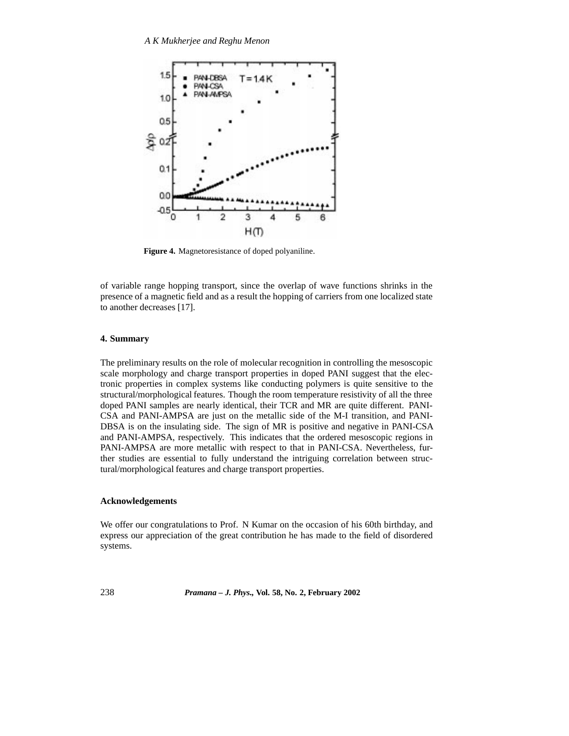

**Figure 4.** Magnetoresistance of doped polyaniline.

of variable range hopping transport, since the overlap of wave functions shrinks in the presence of a magnetic field and as a result the hopping of carriers from one localized state to another decreases [17].

## **4. Summary**

The preliminary results on the role of molecular recognition in controlling the mesoscopic scale morphology and charge transport properties in doped PANI suggest that the electronic properties in complex systems like conducting polymers is quite sensitive to the structural/morphological features. Though the room temperature resistivity of all the three doped PANI samples are nearly identical, their TCR and MR are quite different. PANI-CSA and PANI-AMPSA are just on the metallic side of the M-I transition, and PANI-DBSA is on the insulating side. The sign of MR is positive and negative in PANI-CSA and PANI-AMPSA, respectively. This indicates that the ordered mesoscopic regions in PANI-AMPSA are more metallic with respect to that in PANI-CSA. Nevertheless, further studies are essential to fully understand the intriguing correlation between structural/morphological features and charge transport properties.

# **Acknowledgements**

We offer our congratulations to Prof. N Kumar on the occasion of his 60th birthday, and express our appreciation of the great contribution he has made to the field of disordered systems.

238 *Pramana – J. Phys.,* **Vol. 58, No. 2, February 2002**